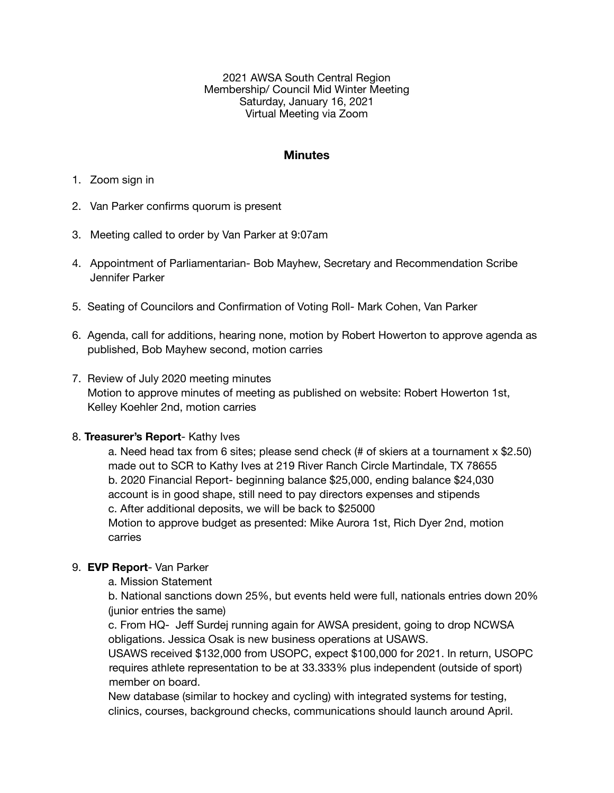2021 AWSA South Central Region Membership/ Council Mid Winter Meeting Saturday, January 16, 2021 Virtual Meeting via Zoom

#### **Minutes**

- 1. Zoom sign in
- 2. Van Parker confirms quorum is present
- 3. Meeting called to order by Van Parker at 9:07am
- 4. Appointment of Parliamentarian- Bob Mayhew, Secretary and Recommendation Scribe Jennifer Parker
- 5. Seating of Councilors and Confirmation of Voting Roll- Mark Cohen, Van Parker
- 6. Agenda, call for additions, hearing none, motion by Robert Howerton to approve agenda as published, Bob Mayhew second, motion carries

#### 7. Review of July 2020 meeting minutes

 Motion to approve minutes of meeting as published on website: Robert Howerton 1st, Kelley Koehler 2nd, motion carries

#### 8. **Treasurer's Report**- Kathy Ives

a. Need head tax from 6 sites; please send check (# of skiers at a tournament x \$2.50) made out to SCR to Kathy Ives at 219 River Ranch Circle Martindale, TX 78655 b. 2020 Financial Report- beginning balance \$25,000, ending balance \$24,030 account is in good shape, still need to pay directors expenses and stipends c. After additional deposits, we will be back to \$25000 Motion to approve budget as presented: Mike Aurora 1st, Rich Dyer 2nd, motion carries

## 9. **EVP Report**- Van Parker

a. Mission Statement

b. National sanctions down 25%, but events held were full, nationals entries down 20% (junior entries the same) 

c. From HQ- Jeff Surdej running again for AWSA president, going to drop NCWSA obligations. Jessica Osak is new business operations at USAWS. 

USAWS received \$132,000 from USOPC, expect \$100,000 for 2021. In return, USOPC requires athlete representation to be at 33.333% plus independent (outside of sport) member on board.

New database (similar to hockey and cycling) with integrated systems for testing, clinics, courses, background checks, communications should launch around April.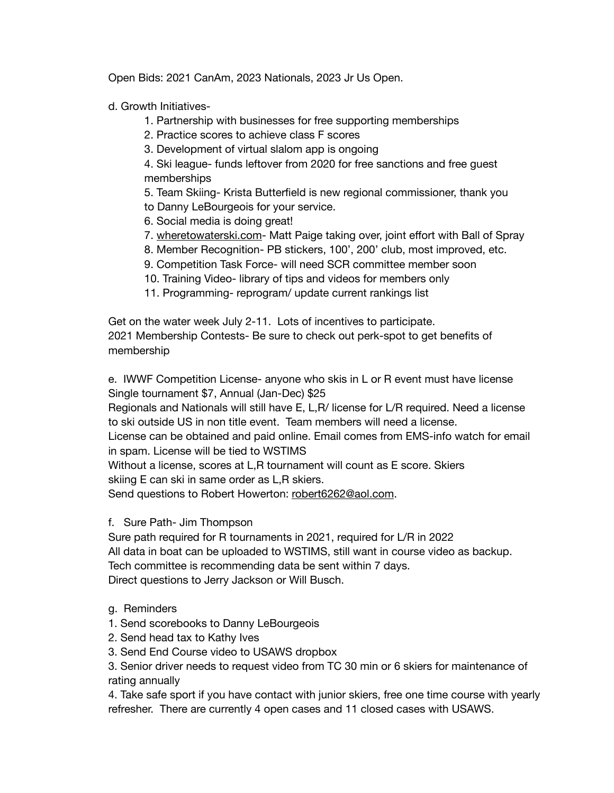Open Bids: 2021 CanAm, 2023 Nationals, 2023 Jr Us Open.

d. Growth Initiatives-

- 1. Partnership with businesses for free supporting memberships
- 2. Practice scores to achieve class F scores
- 3. Development of virtual slalom app is ongoing

 4. Ski league- funds leftover from 2020 for free sanctions and free guest memberships

 5. Team Skiing- Krista Butterfield is new regional commissioner, thank you

- to Danny LeBourgeois for your service.
- 6. Social media is doing great!
- 7. [wheretowaterski.com](http://wheretowaterski.com) Matt Paige taking over, joint effort with Ball of Spray
- 8. Member Recognition- PB stickers, 100', 200' club, most improved, etc.
- 9. Competition Task Force- will need SCR committee member soon
- 10. Training Video- library of tips and videos for members only
- 11. Programming- reprogram/ update current rankings list

Get on the water week July 2-11. Lots of incentives to participate. 2021 Membership Contests- Be sure to check out perk-spot to get benefits of membership

e. IWWF Competition License- anyone who skis in L or R event must have license Single tournament \$7, Annual (Jan-Dec) \$25

Regionals and Nationals will still have E, L,R/ license for L/R required. Need a license to ski outside US in non title event. Team members will need a license. 

License can be obtained and paid online. Email comes from EMS-info watch for email in spam. License will be tied to WSTIMS

Without a license, scores at L,R tournament will count as E score. Skiers skiing E can ski in same order as L,R skiers.

Send questions to Robert Howerton: [robert6262@aol.com](mailto:robert6262@aol.com).

f. Sure Path- Jim Thompson

Sure path required for R tournaments in 2021, required for L/R in 2022 All data in boat can be uploaded to WSTIMS, still want in course video as backup. Tech committee is recommending data be sent within 7 days. Direct questions to Jerry Jackson or Will Busch.

- g. Reminders
- 1. Send scorebooks to Danny LeBourgeois
- 2. Send head tax to Kathy Ives
- 3. Send End Course video to USAWS dropbox

3. Senior driver needs to request video from TC 30 min or 6 skiers for maintenance of rating annually

4. Take safe sport if you have contact with junior skiers, free one time course with yearly refresher. There are currently 4 open cases and 11 closed cases with USAWS.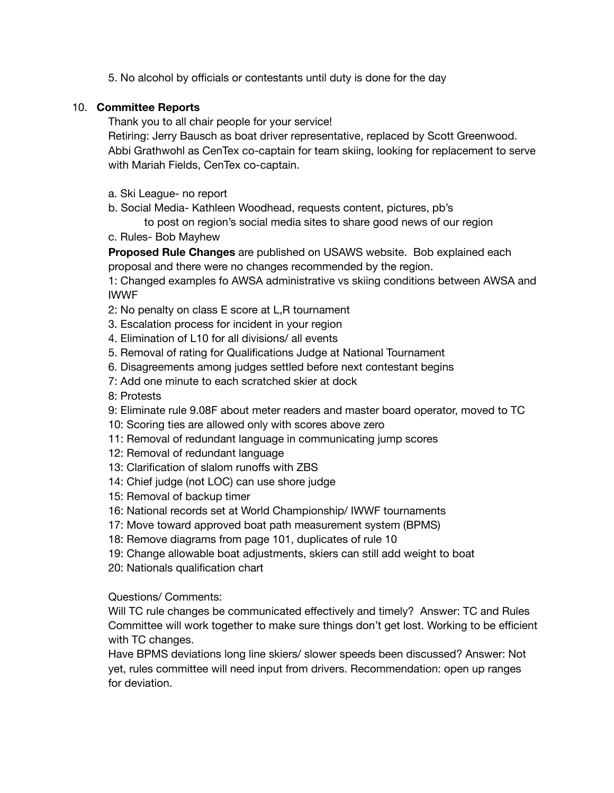5. No alcohol by officials or contestants until duty is done for the day

# 10. **Committee Reports**

Thank you to all chair people for your service!

Retiring: Jerry Bausch as boat driver representative, replaced by Scott Greenwood. Abbi Grathwohl as CenTex co-captain for team skiing, looking for replacement to serve with Mariah Fields, CenTex co-captain. 

- a. Ski League- no report
- b. Social Media- Kathleen Woodhead, requests content, pictures, pb's

 to post on region's social media sites to share good news of our region

c. Rules- Bob Mayhew

**Proposed Rule Changes** are published on USAWS website. Bob explained each proposal and there were no changes recommended by the region.

1: Changed examples fo AWSA administrative vs skiing conditions between AWSA and IWWF

- 2: No penalty on class E score at L,R tournament
- 3. Escalation process for incident in your region
- 4. Elimination of L10 for all divisions/ all events
- 5. Removal of rating for Qualifications Judge at National Tournament
- 6. Disagreements among judges settled before next contestant begins
- 7: Add one minute to each scratched skier at dock
- 8: Protests

9: Eliminate rule 9.08F about meter readers and master board operator, moved to TC

- 10: Scoring ties are allowed only with scores above zero
- 11: Removal of redundant language in communicating jump scores
- 12: Removal of redundant language
- 13: Clarification of slalom runoffs with ZBS
- 14: Chief judge (not LOC) can use shore judge
- 15: Removal of backup timer
- 16: National records set at World Championship/ IWWF tournaments
- 17: Move toward approved boat path measurement system (BPMS)
- 18: Remove diagrams from page 101, duplicates of rule 10
- 19: Change allowable boat adjustments, skiers can still add weight to boat
- 20: Nationals qualification chart

Questions/ Comments:

Will TC rule changes be communicated effectively and timely? Answer: TC and Rules Committee will work together to make sure things don't get lost. Working to be efficient with TC changes.

Have BPMS deviations long line skiers/ slower speeds been discussed? Answer: Not yet, rules committee will need input from drivers. Recommendation: open up ranges for deviation.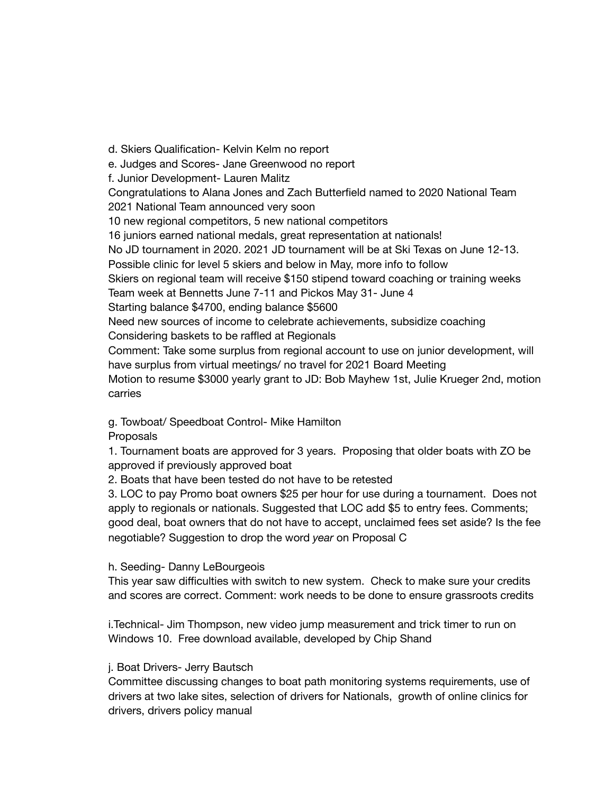d. Skiers Qualification- Kelvin Kelm no report e. Judges and Scores- Jane Greenwood no report f. Junior Development- Lauren Malitz Congratulations to Alana Jones and Zach Butterfield named to 2020 National Team 2021 National Team announced very soon 10 new regional competitors, 5 new national competitors 16 juniors earned national medals, great representation at nationals! No JD tournament in 2020. 2021 JD tournament will be at Ski Texas on June 12-13. Possible clinic for level 5 skiers and below in May, more info to follow Skiers on regional team will receive \$150 stipend toward coaching or training weeks Team week at Bennetts June 7-11 and Pickos May 31- June 4 Starting balance \$4700, ending balance \$5600 Need new sources of income to celebrate achievements, subsidize coaching Considering baskets to be raffled at Regionals Comment: Take some surplus from regional account to use on junior development, will have surplus from virtual meetings/ no travel for 2021 Board Meeting Motion to resume \$3000 yearly grant to JD: Bob Mayhew 1st, Julie Krueger 2nd, motion carries

g. Towboat/ Speedboat Control- Mike Hamilton

**Proposals** 

1. Tournament boats are approved for 3 years. Proposing that older boats with ZO be approved if previously approved boat

2. Boats that have been tested do not have to be retested

3. LOC to pay Promo boat owners \$25 per hour for use during a tournament. Does not apply to regionals or nationals. Suggested that LOC add \$5 to entry fees. Comments; good deal, boat owners that do not have to accept, unclaimed fees set aside? Is the fee negotiable? Suggestion to drop the word *year* on Proposal C

## h. Seeding- Danny LeBourgeois

This year saw difficulties with switch to new system. Check to make sure your credits and scores are correct. Comment: work needs to be done to ensure grassroots credits

i.Technical- Jim Thompson, new video jump measurement and trick timer to run on Windows 10. Free download available, developed by Chip Shand

## j. Boat Drivers- Jerry Bautsch

Committee discussing changes to boat path monitoring systems requirements, use of drivers at two lake sites, selection of drivers for Nationals, growth of online clinics for drivers, drivers policy manual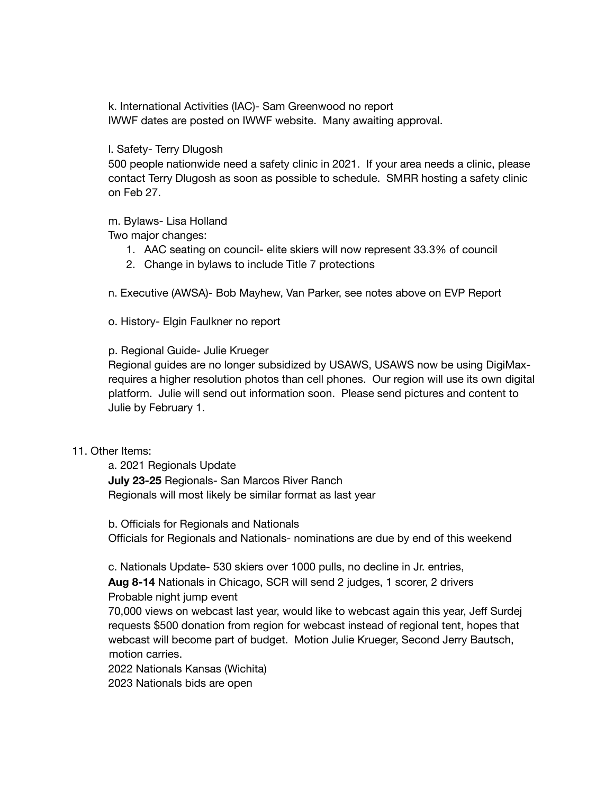k. International Activities (IAC)- Sam Greenwood no report IWWF dates are posted on IWWF website. Many awaiting approval.

#### l. Safety- Terry Dlugosh

500 people nationwide need a safety clinic in 2021. If your area needs a clinic, please contact Terry Dlugosh as soon as possible to schedule. SMRR hosting a safety clinic on Feb 27.

## m. Bylaws- Lisa Holland

Two major changes:

- 1. AAC seating on council- elite skiers will now represent 33.3% of council
- 2. Change in bylaws to include Title 7 protections

n. Executive (AWSA)- Bob Mayhew, Van Parker, see notes above on EVP Report

o. History- Elgin Faulkner no report

#### p. Regional Guide- Julie Krueger

Regional guides are no longer subsidized by USAWS, USAWS now be using DigiMaxrequires a higher resolution photos than cell phones. Our region will use its own digital platform. Julie will send out information soon. Please send pictures and content to Julie by February 1.

#### 11. Other Items:

a. 2021 Regionals Update **July 23-25** Regionals- San Marcos River Ranch Regionals will most likely be similar format as last year

b. Officials for Regionals and Nationals Officials for Regionals and Nationals- nominations are due by end of this weekend

c. Nationals Update- 530 skiers over 1000 pulls, no decline in Jr. entries, **Aug 8-14** Nationals in Chicago, SCR will send 2 judges, 1 scorer, 2 drivers

## Probable night jump event

70,000 views on webcast last year, would like to webcast again this year, Jeff Surdej requests \$500 donation from region for webcast instead of regional tent, hopes that webcast will become part of budget. Motion Julie Krueger, Second Jerry Bautsch, motion carries.

2022 Nationals Kansas (Wichita)

2023 Nationals bids are open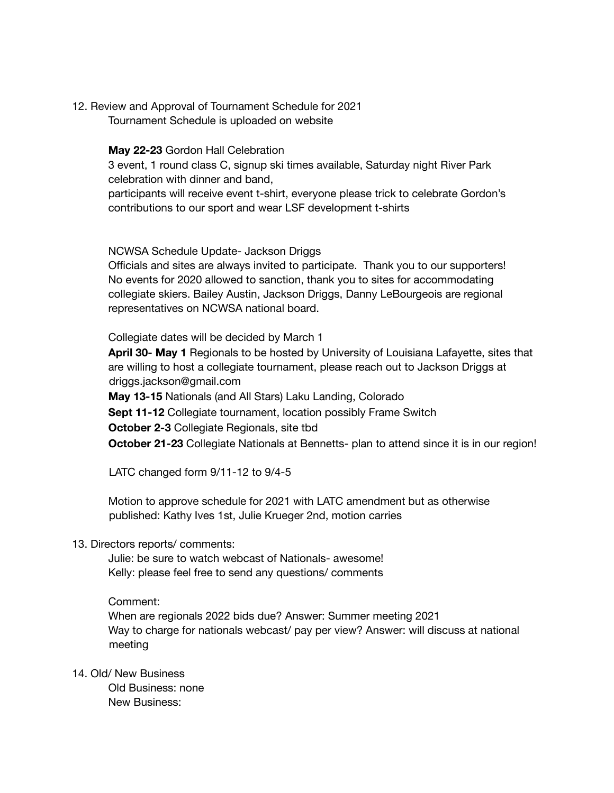12. Review and Approval of Tournament Schedule for 2021 Tournament Schedule is uploaded on website

### **May 22-23** Gordon Hall Celebration

3 event, 1 round class C, signup ski times available, Saturday night River Park celebration with dinner and band, 

participants will receive event t-shirt, everyone please trick to celebrate Gordon's contributions to our sport and wear LSF development t-shirts

NCWSA Schedule Update- Jackson Driggs

Officials and sites are always invited to participate. Thank you to our supporters! No events for 2020 allowed to sanction, thank you to sites for accommodating collegiate skiers. Bailey Austin, Jackson Driggs, Danny LeBourgeois are regional representatives on NCWSA national board.

Collegiate dates will be decided by March 1

**April 30- May 1** Regionals to be hosted by University of Louisiana Lafayette, sites that are willing to host a collegiate tournament, please reach out to Jackson Driggs at driggs.jackson@gmail.com

**May 13-15** Nationals (and All Stars) Laku Landing, Colorado

**Sept 11-12** Collegiate tournament, location possibly Frame Switch

**October 2-3** Collegiate Regionals, site tbd

**October 21-23** Collegiate Nationals at Bennetts- plan to attend since it is in our region!

LATC changed form 9/11-12 to 9/4-5

Motion to approve schedule for 2021 with LATC amendment but as otherwise published: Kathy Ives 1st, Julie Krueger 2nd, motion carries

## 13. Directors reports/ comments:

Julie: be sure to watch webcast of Nationals- awesome! Kelly: please feel free to send any questions/ comments

Comment:

When are regionals 2022 bids due? Answer: Summer meeting 2021 Way to charge for nationals webcast/ pay per view? Answer: will discuss at national meeting

14. Old/ New Business

Old Business: none New Business: